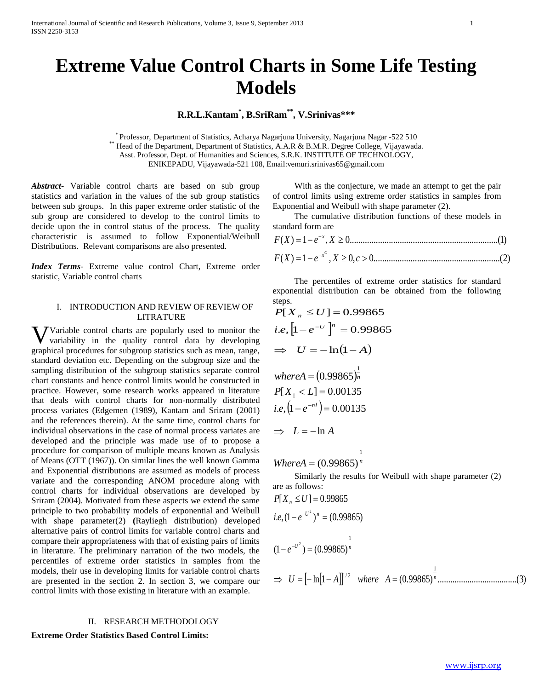# **Extreme Value Control Charts in Some Life Testing Models**

## **R.R.L.Kantam\* , B.SriRam\*\* , V.Srinivas\*\*\***

\* Professor, Department of Statistics, Acharya Nagarjuna University, Nagarjuna Nagar -522 510 \*\* Head of the Department, Department of Statistics, A.A.R & B.M.R. Degree College, Vijayawada. Asst. Professor, Dept. of Humanities and Sciences, S.R.K. INSTITUTE OF TECHNOLOGY, ENIKEPADU, Vijayawada-521 108, Email:vemuri.srinivas65@gmail.com

*Abstract***-** Variable control charts are based on sub group statistics and variation in the values of the sub group statistics between sub groups. In this paper extreme order statistic of the sub group are considered to develop to the control limits to decide upon the in control status of the process. The quality characteristic is assumed to follow Exponential/Weibull Distributions. Relevant comparisons are also presented.

*Index Terms*- Extreme value control Chart, Extreme order statistic, Variable control charts

### I. INTRODUCTION AND REVIEW OF REVIEW OF LITRATURE

Variable control charts are popularly used to monitor the Vvariability in the quality control data by developing graphical procedures for subgroup statistics such as mean, range, standard deviation etc. Depending on the subgroup size and the sampling distribution of the subgroup statistics separate control chart constants and hence control limits would be constructed in practice. However, some research works appeared in literature that deals with control charts for non-normally distributed process variates (Edgemen (1989), Kantam and Sriram (2001) and the references therein). At the same time, control charts for individual observations in the case of normal process variates are developed and the principle was made use of to propose a procedure for comparison of multiple means known as Analysis of Means (OTT (1967)). On similar lines the well known Gamma and Exponential distributions are assumed as models of process variate and the corresponding ANOM procedure along with control charts for individual observations are developed by Sriram (2004). Motivated from these aspects we extend the same principle to two probability models of exponential and Weibull with shape parameter(2) **(**Rayliegh distribution) developed alternative pairs of control limits for variable control charts and compare their appropriateness with that of existing pairs of limits in literature. The preliminary narration of the two models, the percentiles of extreme order statistics in samples from the models, their use in developing limits for variable control charts are presented in the section 2. In section 3, we compare our control limits with those existing in literature with an example.

### II. RESEARCH METHODOLOGY

### **Extreme Order Statistics Based Control Limits:**

 With as the conjecture, we made an attempt to get the pair of control limits using extreme order statistics in samples from Exponential and Weibull with shape parameter (2).

 The cumulative distribution functions of these models in standard form are

$$
F(X) = 1 - e^{-x}, X \ge 0
$$
.................(1)

$$
F(X) = 1 - e^{-x^C}, X \ge 0, c > 0
$$
.................  
.................  
(2)

 The percentiles of extreme order statistics for standard exponential distribution can be obtained from the following steps.

$$
P[X_n \le U] = 0.99865
$$
  
\ni.e,  $[1 - e^{-U}]^n = 0.99865$   
\n $\implies U = -\ln(1 - A)$   
\nwhere  $A = (0.99865)^{\frac{1}{n}}$   
\n $P[X_1 < L] = 0.00135$   
\ni.e,  $(1 - e^{-nt}) = 0.00135$   
\n $\implies L = -\ln A$ 

*WhereA* =  $(0.99865)^n$ 

 Similarly the results for Weibull with shape parameter (2) are as follows:

$$
P[X_n \le U] = 0.99865
$$
  
i.e,  $(1 - e^{-U^2})^n = (0.99865)$   
 $(1 - e^{-U^2}) = (0.99865)^{\frac{1}{n}}$   
⇒  $U = [-\ln[1 - A]]^{1/2}$  where  $A = (0.99865)^{\frac{1}{n}}$ .................(3)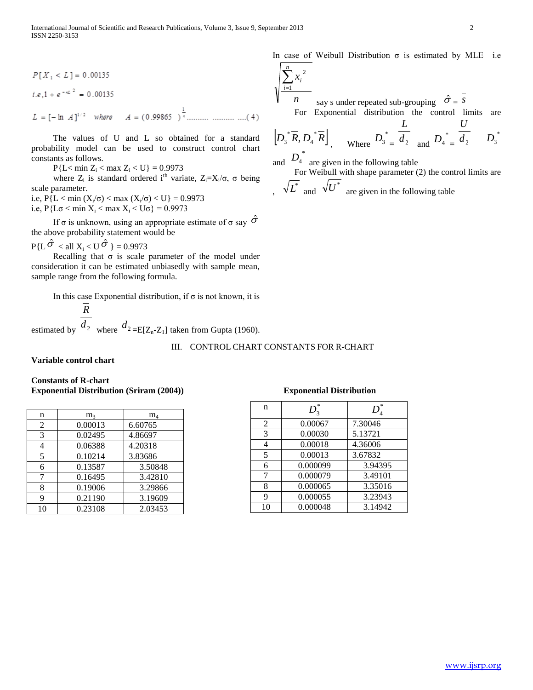$$
P[X_1 < L] = 0.00135
$$
\n
$$
i.e. 1 + e^{-\alpha L^2} = 0.00135
$$
\n
$$
L = [-\ln A]^{1/2} \quad \text{where} \quad A = (0.99865)^{\frac{1}{\alpha}} \dots \dots \dots \dots \dots \dots \dots (4)
$$

 The values of U and L so obtained for a standard probability model can be used to construct control chart constants as follows.

 $P{L < min Z_i < max Z_i < U} = 0.9973$ 

where  $Z_i$  is standard ordered i<sup>th</sup> variate,  $Z_i = X_i / \sigma$ , σ being scale parameter.

i.e,  $P\{L < \min(X_i/\sigma) < \max(X_i/\sigma) < U\} = 0.9973$ i.e,  $P\{L\sigma \le \min X_i \le \max X_i \le U\sigma\} = 0.9973$ 

If  $\sigma$  is unknown, using an appropriate estimate of  $\sigma$  say  $\hat{\sigma}$ the above probability statement would be

 $P\{L\hat{\sigma} < \text{all } X_i < U\hat{\sigma}\} = 0.9973$ 

Recalling that  $\sigma$  is scale parameter of the model under consideration it can be estimated unbiasedly with sample mean, sample range from the following formula.

In this case Exponential distribution, if  $\sigma$  is not known, it is

estimated by  $d_2$  where  $d_2 = E[Z_n-Z_1]$  taken from Gupta (1960). *R*

### III. CONTROL CHART CONSTANTS FOR R-CHART

**Variable control chart** 

### **Constants of R-chart Exponential Distribution (Sriram (2004)) Exponential Distribution**

| n              | m <sub>3</sub> | $\rm m_4$ |
|----------------|----------------|-----------|
| $\overline{c}$ | 0.00013        | 6.60765   |
| 3              | 0.02495        | 4.86697   |
| 4              | 0.06388        | 4.20318   |
| 5              | 0.10214        | 3.83686   |
| 6              | 0.13587        | 3.50848   |
|                | 0.16495        | 3.42810   |
| 8              | 0.19006        | 3.29866   |
| 9              | 0.21190        | 3.19609   |
| 10             | 0.23108        | 2.03453   |

| n              | *<br>$D_{3}$ | *<br>D  |
|----------------|--------------|---------|
| $\overline{2}$ | 0.00067      | 7.30046 |
| 3              | 0.00030      | 5.13721 |
|                | 0.00018      | 4.36006 |
| 5              | 0.00013      | 3.67832 |
| 6              | 0.000099     | 3.94395 |
| 7              | 0.000079     | 3.49101 |
| 8              | 0.000065     | 3.35016 |
| q              | 0.000055     | 3.23943 |
| 10             | 0.000048     | 3.14942 |

$$
\sqrt{\frac{\sum_{i=1}^{n} x_i^2}{n}}
$$
 say s under repeated sub-grouping  $\hat{\sigma} = \frac{\sigma}{s}$   
For Exponential distribution the control limits are

$$
\left[D_3^* \overline{R}, D_4^* \overline{R}\right] \text{ where } D_3^* = \frac{L}{d_2} \text{ and } D_4^* = \frac{L}{d_2} D_3^*
$$

and  $D_4^*$  are given in the following table

 For Weibull with shape parameter (2) the control limits are  $\int_{0}^{\infty}$   $\sqrt{L}^{*}$  and  $\sqrt{U}^{*}$  are given in the following table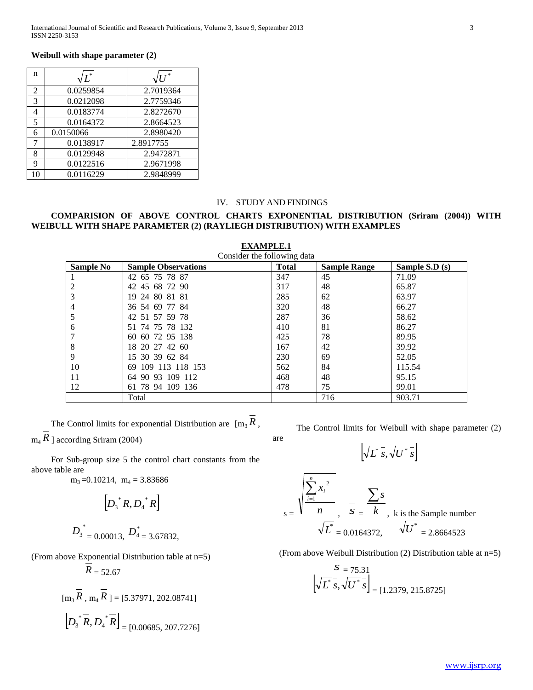### **Weibull with shape parameter (2)**

| n              | $\sqrt{L}^*$ | $\sqrt{U}$ |
|----------------|--------------|------------|
| $\overline{2}$ | 0.0259854    | 2.7019364  |
| 3              | 0.0212098    | 2.7759346  |
| 4              | 0.0183774    | 2.8272670  |
| 5              | 0.0164372    | 2.8664523  |
| 6              | 0.0150066    | 2.8980420  |
| 7              | 0.0138917    | 2.8917755  |
| 8              | 0.0129948    | 2.9472871  |
| 9              | 0.0122516    | 2.9671998  |
| 10             | 0.0116229    | 2.9848999  |

### IV. STUDY AND FINDINGS

### **COMPARISION OF ABOVE CONTROL CHARTS EXPONENTIAL DISTRIBUTION (Sriram (2004)) WITH WEIBULL WITH SHAPE PARAMETER (2) (RAYLIEGH DISTRIBUTION) WITH EXAMPLES**

| Consider the following data |                            |              |                     |                 |
|-----------------------------|----------------------------|--------------|---------------------|-----------------|
| Sample No                   | <b>Sample Observations</b> | <b>Total</b> | <b>Sample Range</b> | Sample $S.D(s)$ |
|                             | 42 65 75 78 87             | 347          | 45                  | 71.09           |
| 2                           | 42 45 68 72 90             | 317          | 48                  | 65.87           |
| 3                           | 19 24 80 81 81             | 285          | 62                  | 63.97           |
| $\overline{4}$              | 36 54 69 77 84             | 320          | 48                  | 66.27           |
| 5                           | 42 51 57 59 78             | 287          | 36                  | 58.62           |
| 6                           | 51 74 75 78 132            | 410          | 81                  | 86.27           |
|                             | 60 60 72 95 138            | 425          | 78                  | 89.95           |
| 8                           | 18 20 27 42 60             | 167          | 42                  | 39.92           |
| 9                           | 15 30 39 62 84             | 230          | 69                  | 52.05           |
| 10                          | 109 113 118 153<br>69      | 562          | 84                  | 115.54          |
| 11                          | 64 90 93 109 112           | 468          | 48                  | 95.15           |
| 12                          | 61 78 94 109 136           | 478          | 75                  | 99.01           |
|                             | Total                      |              | 716                 | 903.71          |

are

**EXAMPLE.1**

The Control limits for exponential Distribution are  $[m_3 R]$ ,  $_{\rm m_4}$  *R* ] according Sriram (2004)

For Sub-group size 5 the control chart constants from the above table are

 $m_3 = 0.10214$ ,  $m_4 = 3.83686$ 

$$
\[D_3^* \overline{R}, D_4^* \overline{R}\]
$$
  

$$
D_3^* = 0.00013, D_4^* = 3.67832,
$$

(From above Exponential Distribution table at n=5)

$$
R=52.67
$$

$$
[m_3 \overline{R}, m_4 \overline{R}] = [5.37971, 202.08741]
$$

$$
D_3^* \overline{R}, D_4^* \overline{R}] = [0.00685, 207.7276]
$$

The Control limits for Weibull with shape parameter (2)

$$
\left[\sqrt{L^*s}, \sqrt{U^*s}\right]
$$

$$
s = \frac{\sqrt{\sum_{i=1}^{n} x_i^2}}{n}, \quad \frac{\sum s}{s} = \frac{\sum s}{k}, \text{ k is the Sample number} \\ \sqrt{L^*} = 0.0164372, \quad \sqrt{U^*} = 2.8664523
$$

(From above Weibull Distribution (2) Distribution table at n=5)

$$
\overline{s} = 75.31
$$
  

$$
\left[\sqrt{L^*} \overline{s}, \sqrt{U^*} \overline{s}\right] = [1.2379, 215.8725]
$$